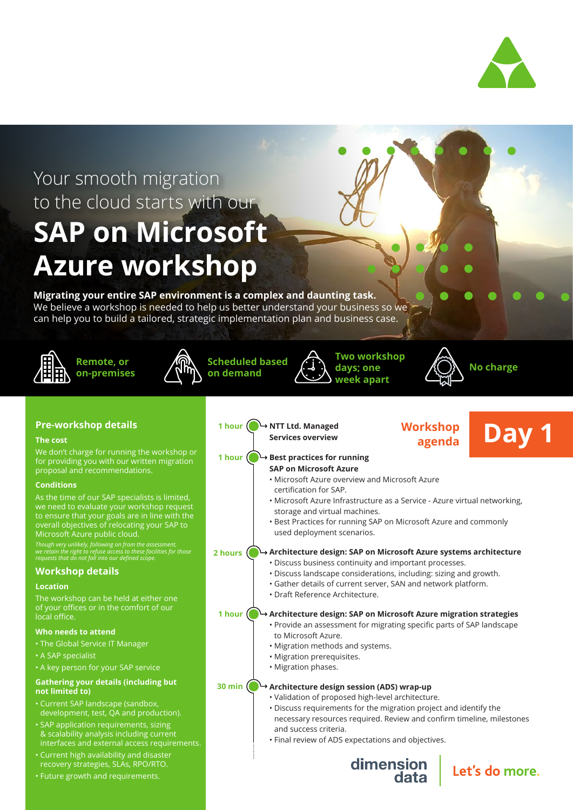

## Your smooth migration to the cloud starts with our **SAP on Microsoft Azure workshop**

#### **Migrating your entire SAP environment is a complex and daunting task.**

We believe a workshop is needed to help us better understand your business so we can help you to build a tailored, strategic implementation plan and business case.











#### **Pre-workshop details**

#### **The cost**

We don't charge for running the workshop or for providing you with our written migration proposal and recommendations.

#### **Conditions**

As the time of our SAP specialists is limited, we need to evaluate your workshop request to ensure that your goals are in line with the overall objectives of relocating your SAP to Microsoft Azure public cloud.

*Though very unlikely, following on from the assessment, we retain the right to refuse access to these facilities for those requests that do not fall into our defined scope.*

#### **Workshop details**

#### **Location**

The workshop can be held at either one of your offices or in the comfort of our local office.

#### **Who needs to attend**

- The Global Service IT Manager
- A SAP specialist
- A key person for your SAP service

#### **Gathering your details (including but not limited to)**

- Current SAP landscape (sandbox, development, test, QA and production).
- SAP application requirements, sizing & scalability analysis including current
- interfaces and external access requirements. • Current high availability and disaster
- Future growth and requirements. recovery strategies, SLAs, RPO/RTO.
- Workshop **Day 1 NTT Ltd. Managed 1 hour Services overview agenda Best practices for running 1 hour SAP on Microsoft Azure** • Microsoft Azure overview and Microsoft Azure certification for SAP. • Microsoft Azure Infrastructure as a Service - Azure virtual networking, storage and virtual machines. • Best Practices for running SAP on Microsoft Azure and commonly used deployment scenarios. **Architecture design: SAP on Microsoft Azure systems architecture 2 hours**• Discuss business continuity and important processes. • Discuss landscape considerations, including: sizing and growth. • Gather details of current server, SAN and network platform. • Draft Reference Architecture. **1 hour Architecture design: SAP on Microsoft Azure migration strategies** • Provide an assessment for migrating specific parts of SAP landscape to Microsoft Azure. • Migration methods and systems. • Migration prerequisites. • Migration phases. **30 min Architecture design session (ADS) wrap-up** • Validation of proposed high-level architecture. • Discuss requirements for the migration project and identify the necessary resources required. Review and confirm timeline, milestones and success criteria. • Final review of ADS expectations and objectives. dimension<br>data Let's do more.